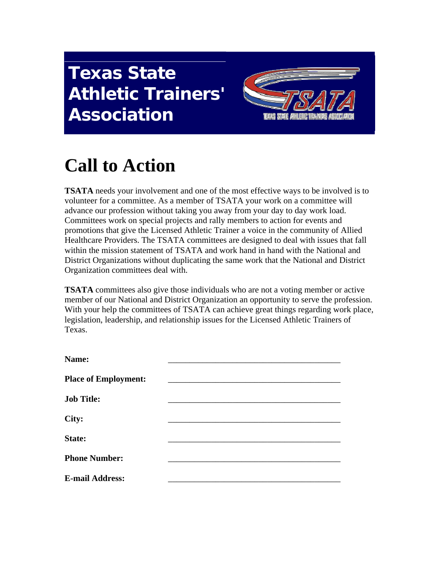## **Texas State Athletic Trainers' Association**



## **Call to Action**

**TSATA** needs your involvement and one of the most effective ways to be involved is to volunteer for a committee. As a member of TSATA your work on a committee will advance our profession without taking you away from your day to day work load. Committees work on special projects and rally members to action for events and promotions that give the Licensed Athletic Trainer a voice in the community of Allied Healthcare Providers. The TSATA committees are designed to deal with issues that fall within the mission statement of TSATA and work hand in hand with the National and District Organizations without duplicating the same work that the National and District Organization committees deal with.

**TSATA** committees also give those individuals who are not a voting member or active member of our National and District Organization an opportunity to serve the profession. With your help the committees of TSATA can achieve great things regarding work place, legislation, leadership, and relationship issues for the Licensed Athletic Trainers of Texas.

| Name:                       |  |
|-----------------------------|--|
| <b>Place of Employment:</b> |  |
| <b>Job Title:</b>           |  |
| City:                       |  |
| State:                      |  |
| <b>Phone Number:</b>        |  |
| <b>E-mail Address:</b>      |  |